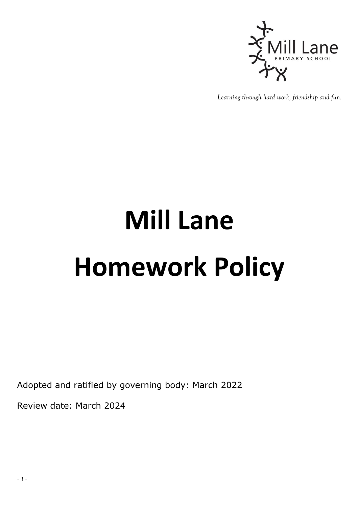

*Learning through hard work, friendship and fun.*

## **Mill Lane Homework Policy**

Adopted and ratified by governing body: March 2022

Review date: March 2024